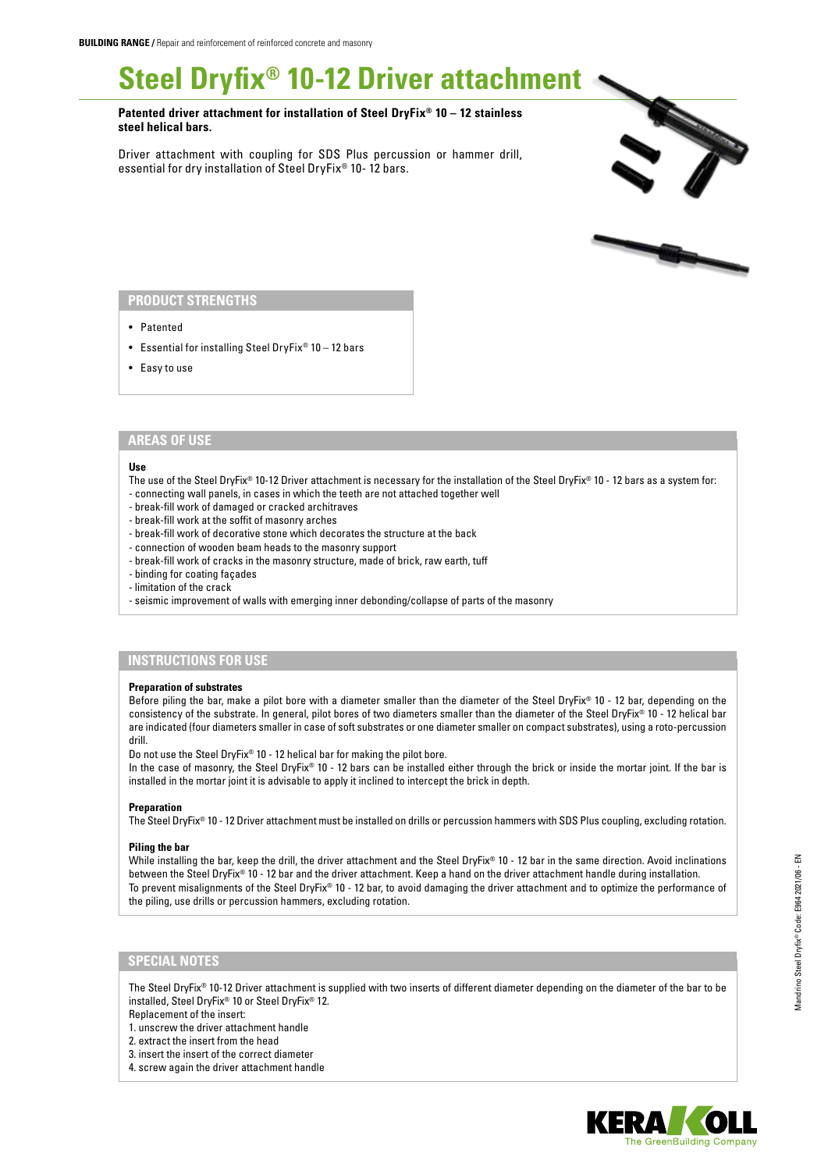# **Steel Dryfix® 10-12 Driver attachment**

**Patented driver attachment for installation of Steel DryFix® 10 – 12 stainless steel helical bars.**

Driver attachment with coupling for SDS Plus percussion or hammer drill, essential for dry installation of Steel DryFix® 10- 12 bars.





## **PRODUCT STRENGTHS**

- Patented
- Essential for installing Steel DryFix® 10 12 bars
- Easy to use

## **AREAS OF USE**

#### **Use**

- The use of the Steel DryFix® 10-12 Driver attachment is necessary for the installation of the Steel DryFix® 10 12 bars as a system for:
- connecting wall panels, in cases in which the teeth are not attached together well
- break-fill work of damaged or cracked architraves - break-fill work at the soffit of masonry arches
- break-fill work of decorative stone which decorates the structure at the back
- connection of wooden beam heads to the masonry support
- break-fill work of cracks in the masonry structure, made of brick, raw earth, tuff
- binding for coating façades
- limitation of the crack
- seismic improvement of walls with emerging inner debonding/collapse of parts of the masonry

# **INSTRUCTIONS FOR USE**

### **Preparation of substrates**

Before piling the bar, make a pilot bore with a diameter smaller than the diameter of the Steel DryFix® 10 - 12 bar, depending on the consistency of the substrate. In general, pilot bores of two diameters smaller than the diameter of the Steel DryFix® 10 - 12 helical bar are indicated (four diameters smaller in case of soft substrates or one diameter smaller on compact substrates), using a roto-percussion drill.

Do not use the Steel DryFix® 10 - 12 helical bar for making the pilot bore.

In the case of masonry, the Steel DryFix® 10 - 12 bars can be installed either through the brick or inside the mortar joint. If the bar is installed in the mortar joint it is advisable to apply it inclined to intercept the brick in depth.

#### **Preparation**

The Steel DryFix® 10 - 12 Driver attachment must be installed on drills or percussion hammers with SDS Plus coupling, excluding rotation.

## **Piling the bar**

While installing the bar, keep the drill, the driver attachment and the Steel DryFix® 10 - 12 bar in the same direction. Avoid inclinations between the Steel DryFix® 10 - 12 bar and the driver attachment. Keep a hand on the driver attachment handle during installation. To prevent misalignments of the Steel DryFix® 10 - 12 bar, to avoid damaging the driver attachment and to optimize the performance of the piling, use drills or percussion hammers, excluding rotation.

# **SPECIAL NOTES**

The Steel DryFix® 10-12 Driver attachment is supplied with two inserts of different diameter depending on the diameter of the bar to be installed, Steel DryFix® 10 or Steel DryFix® 12.

Replacement of the insert: 1. unscrew the driver attachment handle

2. extract the insert from the head 3. insert the insert of the correct diameter

4. screw again the driver attachment handle